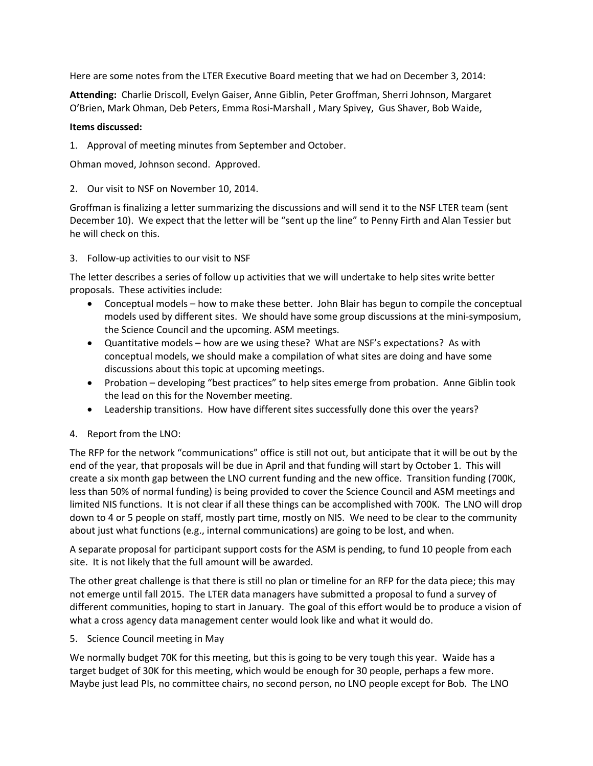Here are some notes from the LTER Executive Board meeting that we had on December 3, 2014:

**Attending:** Charlie Driscoll, Evelyn Gaiser, Anne Giblin, Peter Groffman, Sherri Johnson, Margaret O'Brien, Mark Ohman, Deb Peters, Emma Rosi-Marshall , Mary Spivey, Gus Shaver, Bob Waide,

## **Items discussed:**

1. Approval of meeting minutes from September and October.

Ohman moved, Johnson second. Approved.

2. Our visit to NSF on November 10, 2014.

Groffman is finalizing a letter summarizing the discussions and will send it to the NSF LTER team (sent December 10). We expect that the letter will be "sent up the line" to Penny Firth and Alan Tessier but he will check on this.

3. Follow-up activities to our visit to NSF

The letter describes a series of follow up activities that we will undertake to help sites write better proposals. These activities include:

- Conceptual models how to make these better. John Blair has begun to compile the conceptual models used by different sites. We should have some group discussions at the mini-symposium, the Science Council and the upcoming. ASM meetings.
- Quantitative models how are we using these? What are NSF's expectations? As with conceptual models, we should make a compilation of what sites are doing and have some discussions about this topic at upcoming meetings.
- Probation developing "best practices" to help sites emerge from probation. Anne Giblin took the lead on this for the November meeting.
- Leadership transitions. How have different sites successfully done this over the years?
- 4. Report from the LNO:

The RFP for the network "communications" office is still not out, but anticipate that it will be out by the end of the year, that proposals will be due in April and that funding will start by October 1. This will create a six month gap between the LNO current funding and the new office. Transition funding (700K, less than 50% of normal funding) is being provided to cover the Science Council and ASM meetings and limited NIS functions. It is not clear if all these things can be accomplished with 700K. The LNO will drop down to 4 or 5 people on staff, mostly part time, mostly on NIS. We need to be clear to the community about just what functions (e.g., internal communications) are going to be lost, and when.

A separate proposal for participant support costs for the ASM is pending, to fund 10 people from each site. It is not likely that the full amount will be awarded.

The other great challenge is that there is still no plan or timeline for an RFP for the data piece; this may not emerge until fall 2015. The LTER data managers have submitted a proposal to fund a survey of different communities, hoping to start in January. The goal of this effort would be to produce a vision of what a cross agency data management center would look like and what it would do.

5. Science Council meeting in May

We normally budget 70K for this meeting, but this is going to be very tough this year. Waide has a target budget of 30K for this meeting, which would be enough for 30 people, perhaps a few more. Maybe just lead PIs, no committee chairs, no second person, no LNO people except for Bob. The LNO